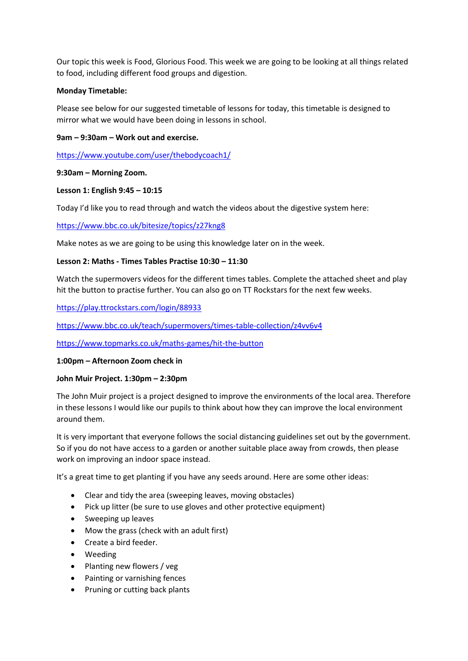Our topic this week is Food, Glorious Food. This week we are going to be looking at all things related to food, including different food groups and digestion.

# **Monday Timetable:**

Please see below for our suggested timetable of lessons for today, this timetable is designed to mirror what we would have been doing in lessons in school.

# **9am – 9:30am – Work out and exercise.**

<https://www.youtube.com/user/thebodycoach1/>

# **9:30am – Morning Zoom.**

# **Lesson 1: English 9:45 – 10:15**

Today I'd like you to read through and watch the videos about the digestive system here:

<https://www.bbc.co.uk/bitesize/topics/z27kng8>

Make notes as we are going to be using this knowledge later on in the week.

# **Lesson 2: Maths - Times Tables Practise 10:30 – 11:30**

Watch the supermovers videos for the different times tables. Complete the attached sheet and play hit the button to practise further. You can also go on TT Rockstars for the next few weeks.

<https://play.ttrockstars.com/login/88933>

<https://www.bbc.co.uk/teach/supermovers/times-table-collection/z4vv6v4>

<https://www.topmarks.co.uk/maths-games/hit-the-button>

## **1:00pm – Afternoon Zoom check in**

## **John Muir Project. 1:30pm – 2:30pm**

The John Muir project is a project designed to improve the environments of the local area. Therefore in these lessons I would like our pupils to think about how they can improve the local environment around them.

It is very important that everyone follows the social distancing guidelines set out by the government. So if you do not have access to a garden or another suitable place away from crowds, then please work on improving an indoor space instead.

It's a great time to get planting if you have any seeds around. Here are some other ideas:

- Clear and tidy the area (sweeping leaves, moving obstacles)
- Pick up litter (be sure to use gloves and other protective equipment)
- Sweeping up leaves
- Mow the grass (check with an adult first)
- Create a bird feeder.
- Weeding
- Planting new flowers / veg
- Painting or varnishing fences
- Pruning or cutting back plants